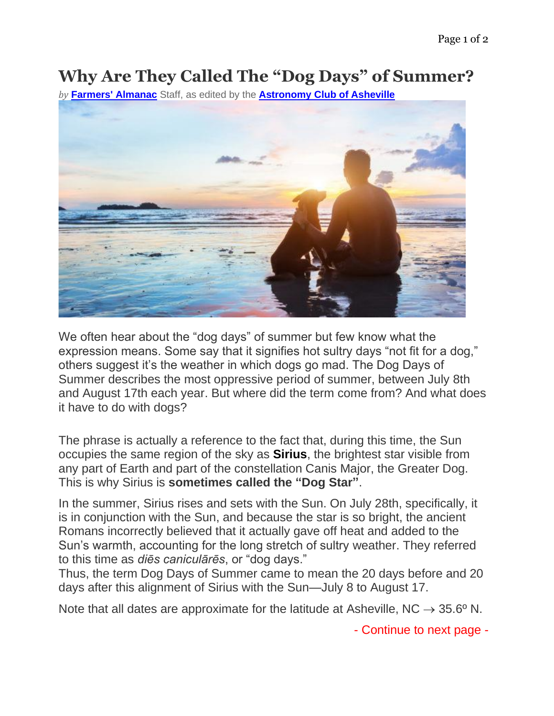## **Why Are They Called The "Dog Days" of Summer?**

*by* **[Farmers' Almanac](https://www.farmersalmanac.com/category/astronomy)** Staff, as edited by the **[Astronomy Club of Asheville](https://www.astroasheville.org/)**



We often hear about the "dog days" of summer but few know what the expression means. Some say that it signifies hot sultry days "not fit for a dog," others suggest it's the weather in which dogs go mad. The Dog Days of Summer describes the most oppressive period of summer, between July 8th and August 17th each year. But where did the term come from? And what does it have to do with dogs?

The phrase is actually a reference to the fact that, during this time, the Sun occupies the same region of the sky as **Sirius**, the brightest star visible from any part of Earth and part of the constellation Canis Major, the Greater Dog. This is why Sirius is **sometimes called the "Dog Star"**.

In the summer, Sirius rises and sets with the Sun. On July 28th, specifically, it is in conjunction with the Sun, and because the star is so bright, the ancient Romans incorrectly believed that it actually gave off heat and added to the Sun's warmth, accounting for the long stretch of sultry weather. They referred to this time as *diēs caniculārēs*, or "dog days."

Thus, the term Dog Days of Summer came to mean the 20 days before and 20 days after this alignment of Sirius with the Sun—July 8 to August 17.

Note that all dates are approximate for the latitude at Asheville, NC  $\rightarrow$  35.6° N.

- Continue to next page -